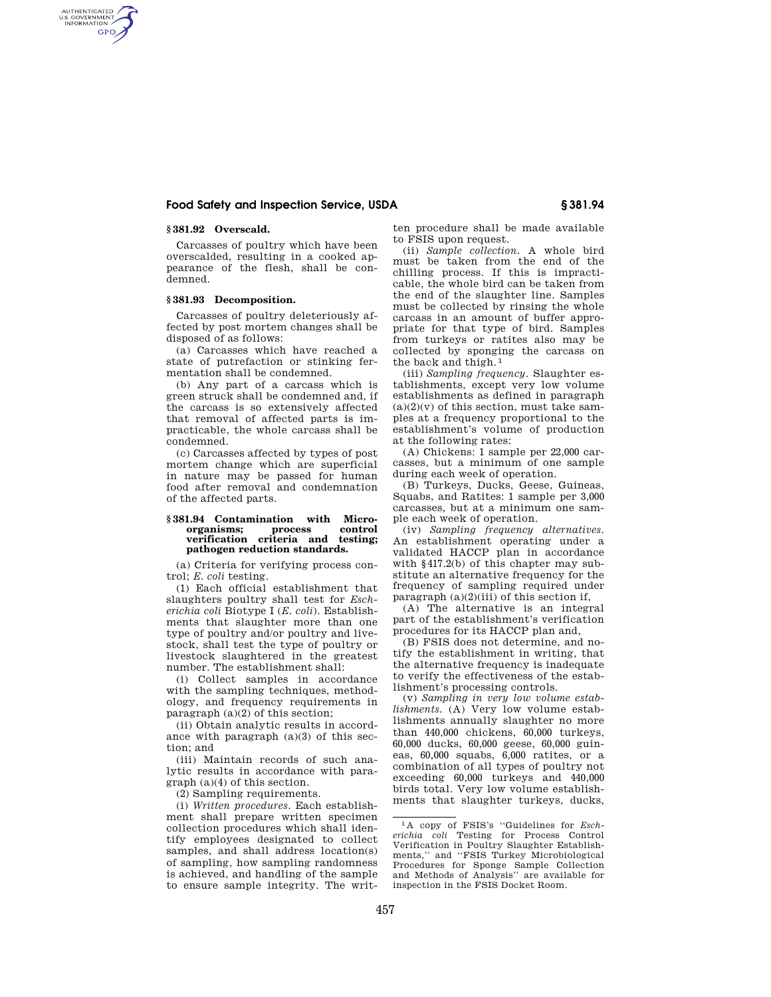# **Food Safety and Inspection Service, USDA § 381.94**

# **§ 381.92 Overscald.**

AUTHENTICATED<br>U.S. GOVERNMENT<br>INFORMATION **GPO** 

> Carcasses of poultry which have been overscalded, resulting in a cooked appearance of the flesh, shall be condemned.

### **§ 381.93 Decomposition.**

Carcasses of poultry deleteriously affected by post mortem changes shall be disposed of as follows:

(a) Carcasses which have reached a state of putrefaction or stinking fermentation shall be condemned.

(b) Any part of a carcass which is green struck shall be condemned and, if the carcass is so extensively affected that removal of affected parts is impracticable, the whole carcass shall be condemned.

(c) Carcasses affected by types of post mortem change which are superficial in nature may be passed for human food after removal and condemnation of the affected parts.

### **§ 381.94 Contamination with Microorganisms; process control verification criteria and testing; pathogen reduction standards.**

(a) Criteria for verifying process control; *E. coli* testing.

(1) Each official establishment that slaughters poultry shall test for *Escherichia coli* Biotype I (*E. coli*). Establishments that slaughter more than one type of poultry and/or poultry and livestock, shall test the type of poultry or livestock slaughtered in the greatest number. The establishment shall:

(i) Collect samples in accordance with the sampling techniques, methodology, and frequency requirements in paragraph (a)(2) of this section;

(ii) Obtain analytic results in accordance with paragraph  $(a)(3)$  of this section; and

(iii) Maintain records of such analytic results in accordance with paragraph (a)(4) of this section.

(2) Sampling requirements.

(i) *Written procedures.* Each establishment shall prepare written specimen collection procedures which shall identify employees designated to collect samples, and shall address location(s) of sampling, how sampling randomness is achieved, and handling of the sample to ensure sample integrity. The written procedure shall be made available to FSIS upon request.

(ii) *Sample collection.* A whole bird must be taken from the end of the chilling process. If this is impracticable, the whole bird can be taken from the end of the slaughter line. Samples must be collected by rinsing the whole carcass in an amount of buffer appropriate for that type of bird. Samples from turkeys or ratites also may be collected by sponging the carcass on the back and thigh. 1

(iii) *Sampling frequency.* Slaughter establishments, except very low volume establishments as defined in paragraph  $(a)(2)(v)$  of this section, must take samples at a frequency proportional to the establishment's volume of production at the following rates:

(A) Chickens: 1 sample per 22,000 carcasses, but a minimum of one sample during each week of operation.

(B) Turkeys, Ducks, Geese, Guineas, Squabs, and Ratites: 1 sample per 3,000 carcasses, but at a minimum one sample each week of operation.

(iv) *Sampling frequency alternatives.*  An establishment operating under a validated HACCP plan in accordance with §417.2(b) of this chapter may substitute an alternative frequency for the frequency of sampling required under paragraph  $(a)(2)(iii)$  of this section if,

(A) The alternative is an integral part of the establishment's verification procedures for its HACCP plan and,

(B) FSIS does not determine, and notify the establishment in writing, that the alternative frequency is inadequate to verify the effectiveness of the establishment's processing controls.

(v) *Sampling in very low volume establishments.* (A) Very low volume establishments annually slaughter no more than 440,000 chickens, 60,000 turkeys, 60,000 ducks, 60,000 geese, 60,000 guineas, 60,000 squabs, 6,000 ratites, or a combination of all types of poultry not exceeding 60,000 turkeys and 440,000 birds total. Very low volume establishments that slaughter turkeys, ducks,

<sup>1</sup> A copy of FSIS's ''Guidelines for *Escherichia coli* Testing for Process Control Verification in Poultry Slaughter Establishments,'' and ''FSIS Turkey Microbiological Procedures for Sponge Sample Collection and Methods of Analysis'' are available for inspection in the FSIS Docket Room.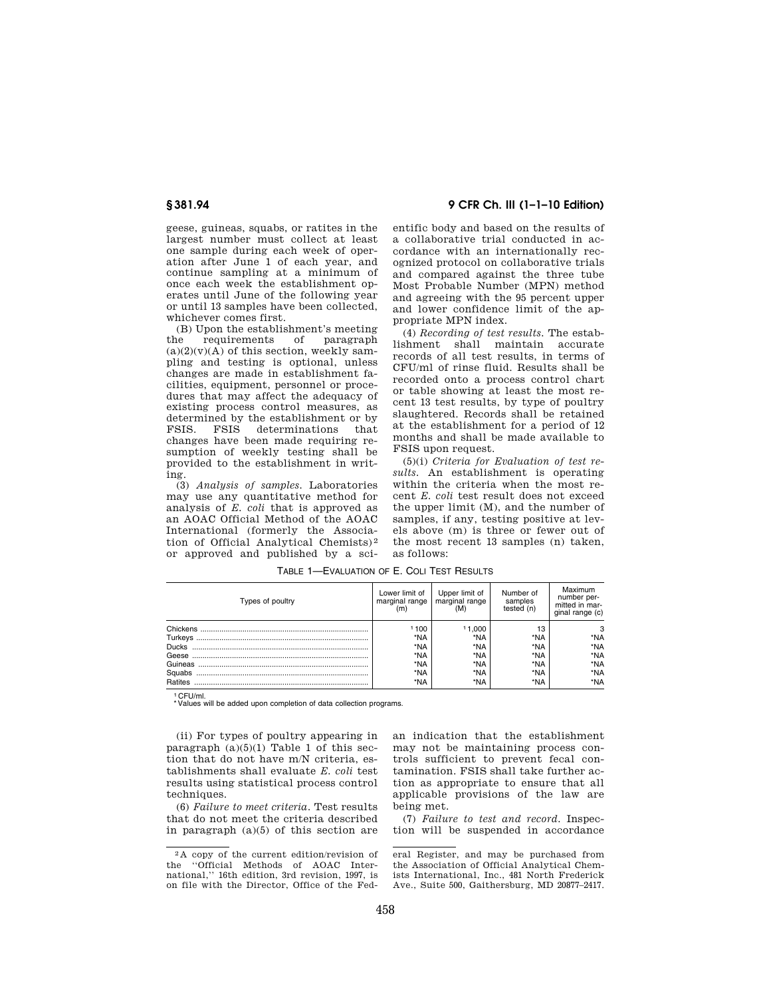geese, guineas, squabs, or ratites in the largest number must collect at least one sample during each week of operation after June 1 of each year, and continue sampling at a minimum of once each week the establishment operates until June of the following year or until 13 samples have been collected, whichever comes first.

(B) Upon the establishment's meeting<br>ne requirements of paragraph the requirements of paragraph  $(a)(2)(v)(A)$  of this section, weekly sampling and testing is optional, unless changes are made in establishment facilities, equipment, personnel or procedures that may affect the adequacy of existing process control measures, as determined by the establishment or by<br>FSIS. FSIS determinations that determinations that changes have been made requiring resumption of weekly testing shall be provided to the establishment in writing.

(3) *Analysis of samples.* Laboratories may use any quantitative method for analysis of *E. coli* that is approved as an AOAC Official Method of the AOAC International (formerly the Association of Official Analytical Chemists) 2 or approved and published by a sci-

# **§ 381.94 9 CFR Ch. III (1–1–10 Edition)**

entific body and based on the results of a collaborative trial conducted in accordance with an internationally recognized protocol on collaborative trials and compared against the three tube Most Probable Number (MPN) method and agreeing with the 95 percent upper and lower confidence limit of the appropriate MPN index.

(4) *Recording of test results.* The establishment shall maintain accurate records of all test results, in terms of CFU/ml of rinse fluid. Results shall be recorded onto a process control chart or table showing at least the most recent 13 test results, by type of poultry slaughtered. Records shall be retained at the establishment for a period of 12 months and shall be made available to FSIS upon request.

(5)(i) *Criteria for Evaluation of test results.* An establishment is operating within the criteria when the most recent *E. coli* test result does not exceed the upper limit (M), and the number of samples, if any, testing positive at levels above (m) is three or fewer out of the most recent 13 samples (n) taken, as follows:

| Types of poultry | Lower limit of<br>marginal range | Upper limit of<br>marginal range<br>(M) | Number of<br>samples<br>tested (n) | Maximum<br>number per-<br>mitted in mar-<br>ginal range (c) |
|------------------|----------------------------------|-----------------------------------------|------------------------------------|-------------------------------------------------------------|
|                  | 1100                             | 11.000                                  | 13                                 | 3                                                           |
|                  | *NA                              | *NA                                     | *NA                                | *NA                                                         |
| <b>Ducks</b>     | *NA                              | *NA                                     | *NA                                | *NA                                                         |
| Geese            | *NA                              | *NA                                     | *NA                                | *NA                                                         |
| Guineas          | *NA                              | *NA                                     | *NA                                | *NA                                                         |
| Squabs           | *NA                              | *NA                                     | *NA                                | *NA                                                         |
| Ratites          | *NA                              | *NA                                     | *NA                                | *NA                                                         |

TABLE 1—EVALUATION OF E. COLI TEST RESULTS

1 CFU/ml.

Values will be added upon completion of data collection programs.

(ii) For types of poultry appearing in paragraph  $(a)(5)(1)$  Table 1 of this section that do not have m/N criteria, establishments shall evaluate *E. coli* test results using statistical process control techniques.

(6) *Failure to meet criteria.* Test results that do not meet the criteria described in paragraph (a)(5) of this section are an indication that the establishment may not be maintaining process controls sufficient to prevent fecal contamination. FSIS shall take further action as appropriate to ensure that all applicable provisions of the law are being met.

(7) *Failure to test and record.* Inspection will be suspended in accordance

 $2A$  copy of the current edition/revision of the "Official Methods of  $AOAC$  Inter-''Official Methods of AOAC International,'' 16th edition, 3rd revision, 1997, is on file with the Director, Office of the Fed-

eral Register, and may be purchased from the Association of Official Analytical Chemists International, Inc., 481 North Frederick Ave., Suite 500, Gaithersburg, MD 20877–2417.